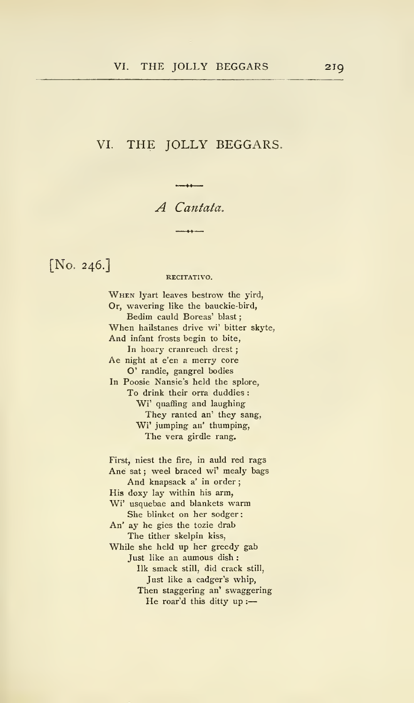## VI. THE JOLLY BEGGARS,

A Cantata.

[No. 246.]

### RECITATIVO.

When lyart leaves bestrow the yird, Or, wavering like the bauckie-bird, Bedim cauld Boreas' blast When hailstanes drive wi' bitter skyte, And infant frosts begin to bite, In hoary cranreuch drest ; Ae night at e'en <sup>a</sup> merry core O' randie, gangrel bodies In Poosie Nansie's held the splore. To drink their orra duddies : Wi' quaffing and laughing They ranted an' they sang, Wi' jumping an' thumping, The vera girdle rang.

First, niest the fire, in auld red rags Ane sat; weel braced wi' mealy bags And knapsack a' in order His doxy lay within his arm, Wi' usquebae and blankets warm She blinket on her sodger An' ay he gies the tozie drab The tither skelpin kiss, While she held up her greedy gab Just like an aumous dish : Ilk smack still, did crack still, Just like a cadger's whip, Then staggering an' swaggering He roar'd this ditty up :-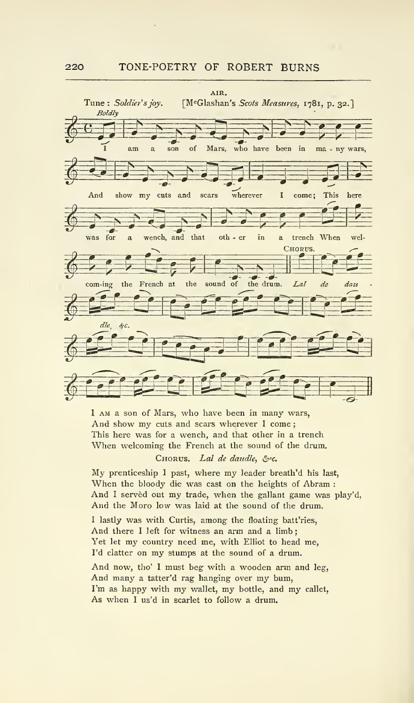

<sup>I</sup> AM a son of Mars, who have been in many wars, And show my cuts and scars wherever I come; This here was for a wench, and that other in a trench When welcoming the French at the sound of the drum.

CHORUS. Lal de daudle, &c.

My prenticeship <sup>I</sup> past, where my leader breath'd his last, When the bloody die was cast on the heights of Abram : And I served out my trade, when the gallant game was play'd, And the Moro low was laid at the sound of the drum.

<sup>I</sup> lastly was with Curtis, among the floating batt'ries. And there <sup>I</sup> left for witness an arm and a limb ; Yet let my country need me, with Elliot to head me, I'd clatter on my stumps at the sound of <sup>a</sup> drum.

And now, tho' <sup>I</sup> must beg with <sup>a</sup> wooden arm and leg, And many <sup>a</sup> tatter'd rag hanging over my bum, I'm as happy with my wallet, my bottle, and my callet, As when <sup>I</sup> us'd in scarlet to follow a drum.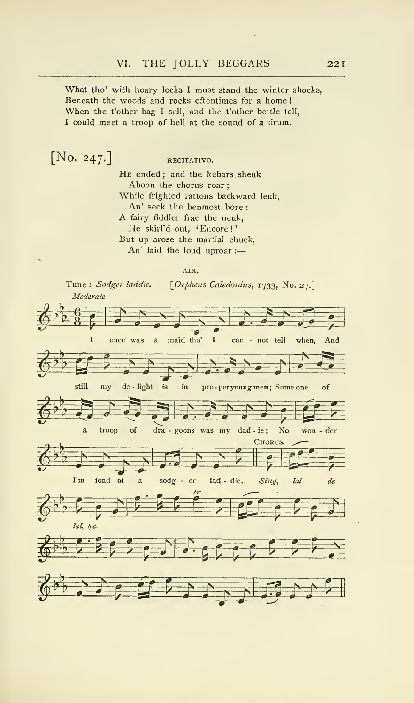What tho' with hoary locks <sup>I</sup> must stand the winter shocks, Beneath the woods and rocks oftentimes for a home ! When the t'other bag <sup>I</sup> sell, and the t'other bottle tell, <sup>I</sup> could meet a troop of hell at the sound of a drum.

 $[No. 247.]$  RECITATIVO. HE ended; and the kebars sheuk Aboon the chorus roar While frighted rattons backward leuk, An' seek the benmost bore : A fairy fiddler frae the neuk. He skirl'd out, 'Encore!' But up arose the martial chuck, An' laid the loud uproar :

### AIR.

Tune : Sodger laddie. [Orpheus Caledonius, 1733, No. 27.]<br>Moderate

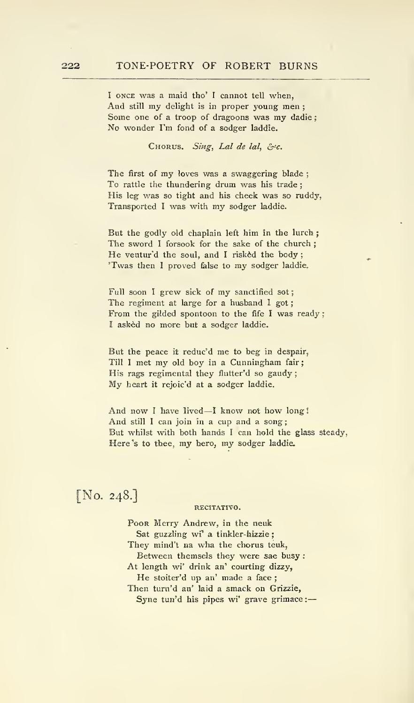<sup>I</sup> ONCE was a maid tho' <sup>I</sup> cannot tell when, And still my delight is in proper young men ; Some one of <sup>a</sup> troop of dragoons was my dadie ; No wonder I'm fond of a sodger laddie.

CHORUS. Sing, Lal de lal,  $\&c$ .

The first of my loves was <sup>a</sup> swaggering blade ; To rattle the thundering drum was his trade ; His leg was so tight and his cheek was so ruddy, Transported <sup>I</sup>was with my sodger laddie.

But the godly old chaplain left him in the lurch; The sword <sup>I</sup> forsook for the sake of the church ; He ventur'd the soul, and I risked the body; 'Twas then <sup>I</sup>proved false to my sodger laddie.

Full soon I grew sick of my sanctified sot; The regiment at large for a husband I got; From the gilded spontoon to the fife <sup>I</sup> was ready ; <sup>I</sup> asked no more but a sodger laddie.

But the peace it reduc'd me to beg in despair, Till <sup>I</sup> met my old boy in <sup>a</sup> Cunningham fair His rags regimental they flutter'd so gaudy; My heart it rejoic'd at a sodger laddie.

And now I have lived—I know not how long! And still <sup>I</sup> can join in a cup and a song; But whilst with both hands <sup>I</sup> can hold the glass steady, Here's to thee, my hero, my sodger laddie.

# [No. 248.]

### RECITATIVO.

Poor Merry Andrew, in the neuk Sat guzzling wi' a tinkler-hizzie; They mind't na wha the chorus teuk, Between themsels they were sae busy : At length wi' drink an' courting dizzy, He stoiter'd up an' made a face ; Then turn'd an' laid a smack on Grizzie, Syne tun'd his pipes wi' grave grimace:-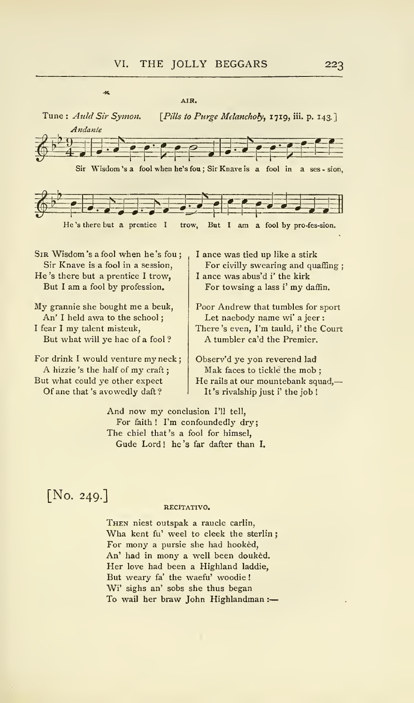AIR.



He 's there but a prentice <sup>I</sup> trow, But <sup>I</sup> am a fool by profession.

 $\overline{\mathcal{M}}$ 

My grannie she bought me <sup>a</sup> beuk. An' I held awa to the school; I fear I my talent misteuk, But what will ye hae of a fool ?

For drink I would venture my neck;<br>A hizzie's the half of my craft; But what could ye other expect Of ane that 's avowedly daft ?

For civilly swearing and quaffing ; <sup>I</sup> ance was abus'd i' the kirk For towsing <sup>a</sup> lass i' my daffin.

Poor Andrew that tumbles for sport Let naebody name wi' a jeer : There 's even, I'm tauld, i' the Court A tumbler ca'd the Premier.

Observ'd ye yon reverend lad Mak faces to tickle the mob : He rails at our mountebank squad, It's rivalship just i' the job !

And now my conclusion I'll tell, For faith! I'm confoundedly dry; The chiel that 's a fool for himsel, Gude Lord! he's far dafter than I.

# [No. 249.]

### RECITATIVO.

Then niest outspak a raucle carlin, Wha kent fu' weel to cleek the sterlin ; For mony a pursie she had hooked. An' had in mony a well been douked. Her love had been <sup>a</sup> Highland laddie, But weary fa' the waefu' woodie ! Wi' sighs an' sobs she thus began To wail her braw John Highlandman :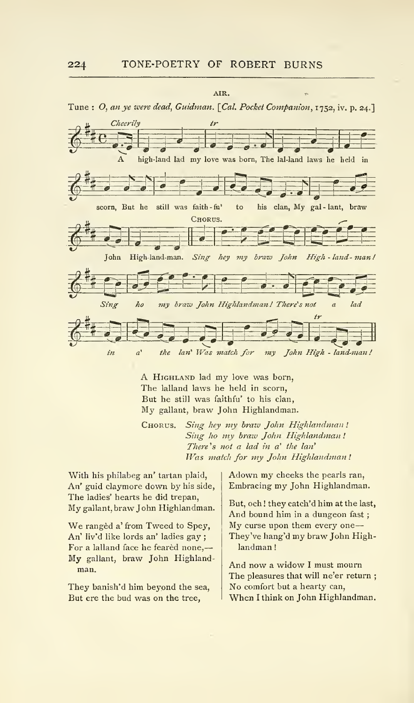

A Highland lad my love was born, The lalland laws he held in scorn, But he still was faithfu' to his clan, My gallant, braw John Highlandman.

CHORUS. Sing hey my braw John Highlandman! Sing ho my braw John Highlandman! There's not a lad in a' the lan' Was match for my John Highlandman !

With his philabeg an' tartan plaid, An' guid claymore down by his side, The ladies' hearts he did trepan. My gallant, braw John Highlandman.

We ranged a' from Tweed to Spey, An' liv'd like lords an' ladies gay ; For a lalland face he feared none,-My gallant, braw John Highland man.

They banish'd him beyond the sea, But ere the bud was on the tree,

Adown my cheeks the pearls ran, Embracing my John Highlandman.

But, och ! they catch'd him at the last, And bound him in <sup>a</sup> dungeon fast ; My curse upon them every one They've hang'd my braw John High landman !

And now <sup>a</sup>widow <sup>I</sup> must mourn The pleasures that will ne'er return ; No comfort but <sup>a</sup> hearty can. When <sup>I</sup> think on John Highlandman.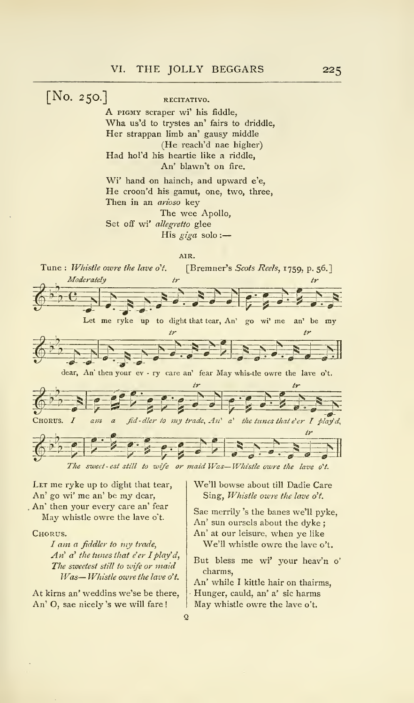[NO. 250.] RECITATIVO.<br>A PIGMY scraper wi' his fiddle,<br>Wha us'd to trystes an' fairs to driddle, Her strappan limb an' gausy middle (He reach'd nae higher) Had hol'd his heartie like a riddle, An' blawn't on fire.

> Wi' hand on hainch, and upward e'e, He croon'd his gamut, one, two, three, Then in an arioso key The wee Apollo,

Set off wi' allegretto glee His giga solo :-

ATR. Tune: Whistle owre the lave o't. [Bremner's Scots Reels, 1759, p. 56.]<br>  $\begin{array}{ccc}\n\frac{1}{\sqrt{2}} & \frac{1}{\sqrt{2}} \\
\frac{1}{\sqrt{2}} & \frac{1}{\sqrt{2}} \\
\frac{1}{\sqrt{2}} & \frac{1}{\sqrt{2}} \\
\frac{1}{\sqrt{2}} & \frac{1}{\sqrt{2}} \\
\frac{1}{\sqrt{2}} & \frac{1}{\sqrt{2}} \\
\frac{1}{\sqrt{2}} & \frac{1}{\sqrt{2}} \\
\frac{1}{\sqrt{$ Moderately ir tr  $\sum_{\sigma}$   $\sum_{\sigma}$   $\sum_{\sigma}$   $\sum_{\sigma}$   $\sum_{\sigma}$   $\sum_{\sigma}$   $\sum_{\sigma}$   $\sum_{\sigma}$   $\sum_{\sigma}$   $\sum_{\sigma}$   $\sum_{\sigma}$   $\sum_{\sigma}$   $\sum_{\sigma}$   $\sum_{\sigma}$   $\sum_{\sigma}$   $\sum_{\sigma}$   $\sum_{\sigma}$   $\sum_{\sigma}$   $\sum_{\sigma}$   $\sum_{\sigma}$   $\sum_{\sigma}$   $\sum_{\sigma}$   $\sum_{\sigma}$   $\sum_{\sigma}$   $\sum_{\$  $E$ ,  $E$ ,  $E$ ,  $E$  $\sum_{i=1}^{n} \sum_{j=1}^{n} \sum_{j=1}^{n} \sum_{j=1}^{n} \sum_{j=1}^{n} \sum_{j=1}^{n} \sum_{j=1}^{n} \sum_{j=1}^{n} \sum_{j=1}^{n} \sum_{j=1}^{n} \sum_{j=1}^{n} \sum_{j=1}^{n} \sum_{j=1}^{n} \sum_{j=1}^{n} \sum_{j=1}^{n} \sum_{j=1}^{n} \sum_{j=1}^{n} \sum_{j=1}^{n} \sum_{j=1}^{n} \sum_{j=1}^{n} \sum_{j=1}^{n} \sum_{j=1}^{n}$ tr  $\sum_{i=1}^{n}$  $\overrightarrow{e}$   $\overrightarrow{e}$   $\overrightarrow{e}$   $\overrightarrow{e}$   $\overrightarrow{e}$   $\overrightarrow{e}$   $\overrightarrow{e}$   $\overrightarrow{e}$   $\overrightarrow{e}$   $\overrightarrow{e}$   $\overrightarrow{e}$   $\overrightarrow{e}$   $\overrightarrow{e}$   $\overrightarrow{e}$   $\overrightarrow{e}$   $\overrightarrow{e}$   $\overrightarrow{e}$   $\overrightarrow{e}$   $\overrightarrow{e}$   $\overrightarrow{e}$   $\overrightarrow{e}$   $\overrightarrow{e}$   $\overrightarrow{e}$   $\overrightarrow{e}$   $\overrightarrow{$ my trade^ Alt' a' the^^^ tunes that e'er <sup>I</sup> play" d^  $655522220$  $60380$ CHORUS. *I am a fid-dler to* my trade, An' a' the tunes that e'er I play'd,  $\begin{array}{c|c|c|c|c|c} \hline \bullet & \bullet & \bullet & \bullet & \bullet & \bullet & \bullet & \bullet \ \hline \end{array}$ <br>The sweet-est still to wife or maid Was—Whistle owre the lave o't.

 $\overline{Q}$ 

LET me ryke up to dight that tear, An' go wi' me an' be my dear, , An' then your every care an' fear May whistle owre the lave o't.

Chorus.

I am a fiddler to my trade, An'  $a'$  the tunes that e'er I play'd, The sweetest still to wife or maid Was— Whistle owre the lave o't.

At kirns an' weddins we'se be there, An' O, sae nicely 's we will fare !

We'll bowse about till Dadie Care Sing, Whistle owre the lave o't.

Sae merrily 's the banes we'll pyke, An' sun oursels about the dyke ; An' at our leisure, when ye like We'll whistle owre the lave o't.

But bless me wi' your heav'n o' charms.

An' while <sup>I</sup> kittle hair on thairms, Hunger, cauld, an' a' sic harms May whistle owre the lave o't.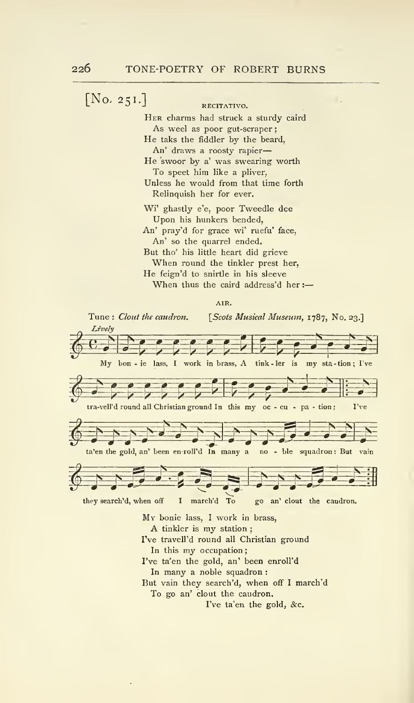$[No, 251.]$  RECITATIVO. Her charms had struck a sturdy caird As weel as poor gut-scraper; He taks the fiddler by the beard, An' draws a roosty rapier He swoor by a' was swearing worth To speet him like a pliver, Unless he would from that time forth Relinquish her for ever. Wi' ghastly e'e, poor Tweedle dee Upon his hunkers bended, An' pray'd for grace wi' ruefu' face, An' so the quarrel ended. But tho' his little heart did grieve When round the tinkler prest her,

> He feign'd to snirtle in his sleeve When thus the caird address'd her :-

> > AIR.

Tune : Clout the caudron. Lively [Scots Musical Museum, 1787, No. 23.]  $\sum_{i=1}^{n} \frac{e^{i} e^{i}}{e^{i} e^{i}}$ My bon - ie lass, I work in brass, A tink - ler is my sta - tion; I've My bon - ie lass, I work in brass, A tink-ler is my sta-tion; I've  $\begin{bmatrix} 1 & 1 \end{bmatrix}$  tra-vell'd round all Christian ground In this my oc - cu - pa - tion; I've  $S^{\circ}$   $S^{\circ}$   $S^{\circ}$   $S^{\circ}$   $S^{\circ}$   $S^{\circ}$   $S^{\circ}$   $S^{\circ}$   $S^{\circ}$   $S^{\circ}$   $S^{\circ}$   $S^{\circ}$   $S^{\circ}$   $S^{\circ}$   $S^{\circ}$   $S^{\circ}$   $S^{\circ}$   $S^{\circ}$   $S^{\circ}$   $S^{\circ}$   $S^{\circ}$   $S^{\circ}$   $S^{\circ}$   $S^{\circ}$   $S^{\circ}$   $S^{\circ}$   $S^{\circ}$   $S^{\circ$  $\frac{1}{\sqrt{2}}$ I B S S Ta'en the gold, an' been en-roll'd In many a no - ble squadron : But vain  $\sum_{i=1}^{n}$ <sup>i</sup> H n =t they search'd, when off <sup>I</sup> march'd To go an' clout the caudron. My bonie lass, <sup>I</sup> work in brass, A tinkler is my station ; I've travell'd round all Christian ground In this my occupation ; I've ta'en the gold, an' been enroll'd In many a noble squadron : But vain they search'd, when off <sup>I</sup> march'd

To go an' clout the caudron.

I've ta'en the gold, &c.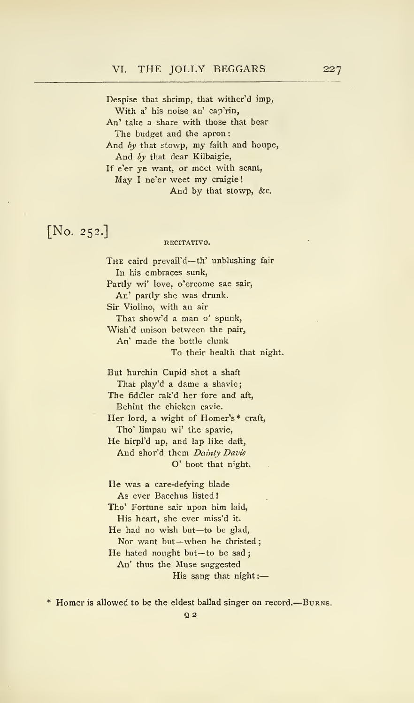Despise that shrimp, that wither'd imp, With a' his noise an' cap'rin, An' take a share with those that bear The budget and the apron: And by that stowp, my faith and houpe, And by that dear Kilbaigie, If e'er ye want, or meet with scant, May <sup>I</sup> ne'er weet my craigie

And by that stowp, &c.

## [No. 252.]

### RECITATIVO.

THE caird prevail'd-th' unblushing fair In his embraces sunk, Partly wi' love, o'ercome sae sair, An' partly she was drunk. Sir Violino, with an air That show'd a man o' spunk, Wish'd unison between the pair. An' made the bottle clunk To their health that night. But hurchin Cupid shot a shaft That play'd a dame a shavie; The fiddler rak'd her fore and aft, Behint the chicken cavie.

Her lord, a wight of Homer's\* craft, Tho' limpan wi' the spavie,

He hirpl'd up, and lap like daft, And shor'd them Dainty Davie O' boot that night.

He was a care-defying blade As ever Bacchus listed Tho' Fortune sair upon him laid, His heart, she ever miss'd it. He had no wish but—to be glad, Nor want but-when he thristed; He hated nought but-to be sad; An' thus the Muse suggested His sang that night :

Homer is allowed to be the eldest ballad singer on record. Burns.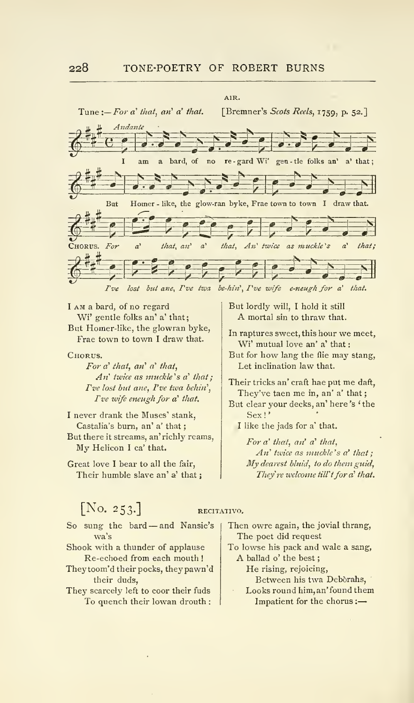

<sup>I</sup> AM a bard, of no regard Wi' gentle folks an' a' that; But Homer-like, the glowran byke, Frae town to town <sup>I</sup> draw that.

Chorus.

For  $a'$  that, an'  $a'$  that,  $An'$  twice as muckle's  $a'$  that; I've lost but ane, I've twa behin',  $Ive$  wife eneugh for a' that.

<sup>I</sup> never drank the Muses' stank, Castalia's burn, an' a' that But there it streams, an' richly reams. My Helicon <sup>I</sup> ca' that.

Great love <sup>I</sup>bear to all the fair, Their humble slave an' a' that; But lordly will, <sup>I</sup> hold it still A mortal sin to thraw that.

In raptures sweet, this hour we meet, Wi' mutual love an' a' that:

But for how lang the flie may stang. Let inclination law that.

Their tricks an' craft hae put me daft, They've taen me in, an' a' that But clear your decks, an' here's 'the Sex!'

I like the jads for a' that.

For  $a'$  that, an'  $a'$  that,  $An'$  twice as muckle's  $a'$  that: My dearest bluid, to do them guid, They're welcome till't for a' that.

## $[N<sub>0</sub>, 253.]$  RECITATIVO.

- So sung the bard —and Nansie's wa's
- Shook with a thunder of applause Re-echoed from each mouth !
- Theytoom'd their pocks, theypawn'd their duds.
- They scarcely left to coor their fuds To quench their lowan drouth :

Then owre again, the jovial thrang, The poet did request

To lowse his pack and wale a sang, A ballad o' the best

He rising, rejoicing.

Between his twa Deborahs,

Looks round him, an' found them Impatient for the chorus :